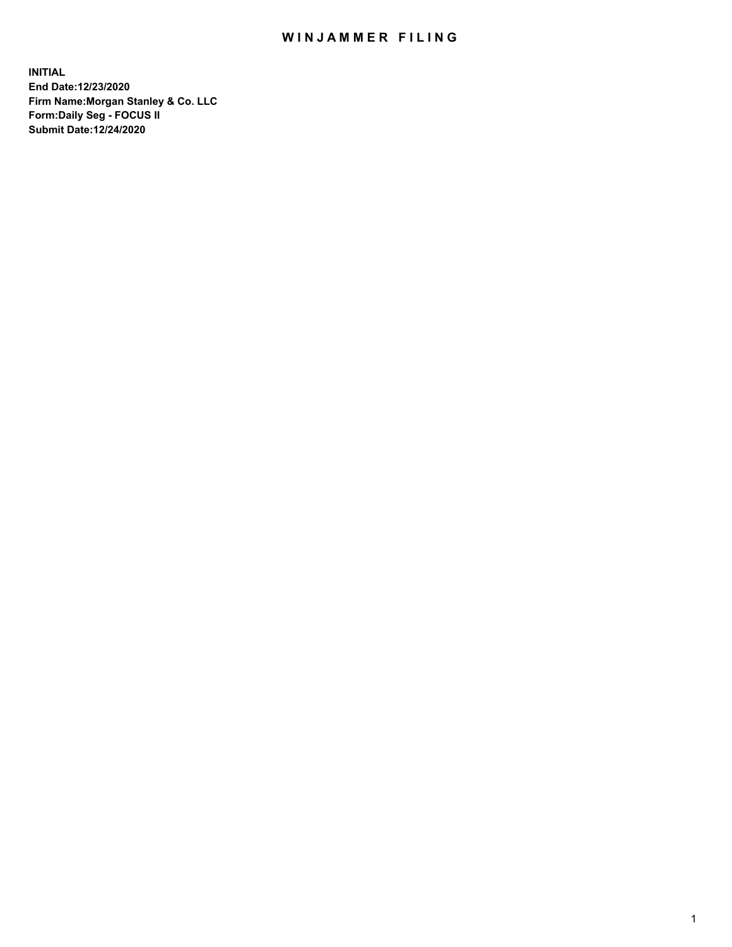## WIN JAMMER FILING

**INITIAL End Date:12/23/2020 Firm Name:Morgan Stanley & Co. LLC Form:Daily Seg - FOCUS II Submit Date:12/24/2020**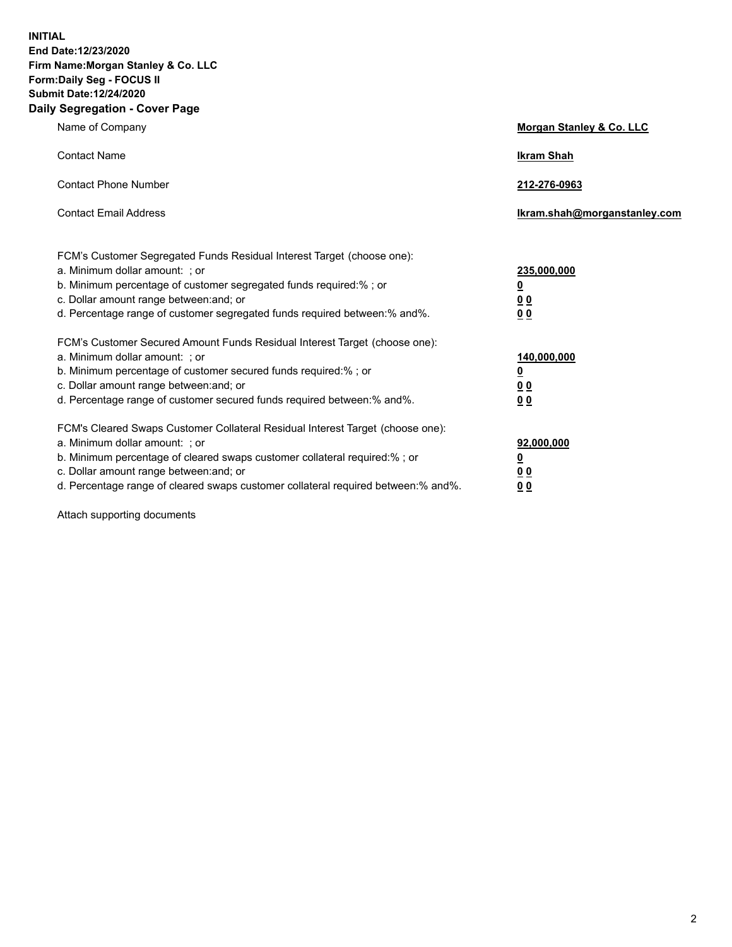**INITIAL End Date:12/23/2020 Firm Name:Morgan Stanley & Co. LLC Form:Daily Seg - FOCUS II Submit Date:12/24/2020 Daily Segregation - Cover Page**

| Name of Company                                                                                                                                                                                                                                                                                                                | <b>Morgan Stanley &amp; Co. LLC</b>                    |
|--------------------------------------------------------------------------------------------------------------------------------------------------------------------------------------------------------------------------------------------------------------------------------------------------------------------------------|--------------------------------------------------------|
| <b>Contact Name</b>                                                                                                                                                                                                                                                                                                            | <b>Ikram Shah</b>                                      |
| <b>Contact Phone Number</b>                                                                                                                                                                                                                                                                                                    | 212-276-0963                                           |
| <b>Contact Email Address</b>                                                                                                                                                                                                                                                                                                   | Ikram.shah@morganstanley.com                           |
| FCM's Customer Segregated Funds Residual Interest Target (choose one):<br>a. Minimum dollar amount: : or<br>b. Minimum percentage of customer segregated funds required:%; or<br>c. Dollar amount range between: and; or<br>d. Percentage range of customer segregated funds required between:% and%.                          | 235,000,000<br><u>0</u><br><u>00</u><br><u>00</u>      |
| FCM's Customer Secured Amount Funds Residual Interest Target (choose one):<br>a. Minimum dollar amount: ; or<br>b. Minimum percentage of customer secured funds required:%; or<br>c. Dollar amount range between: and; or<br>d. Percentage range of customer secured funds required between:% and%.                            | 140,000,000<br><u>0</u><br><u>00</u><br>0 <sub>0</sub> |
| FCM's Cleared Swaps Customer Collateral Residual Interest Target (choose one):<br>a. Minimum dollar amount: ; or<br>b. Minimum percentage of cleared swaps customer collateral required:% ; or<br>c. Dollar amount range between: and; or<br>d. Percentage range of cleared swaps customer collateral required between:% and%. | 92,000,000<br><u>0</u><br><u>00</u><br>00              |

Attach supporting documents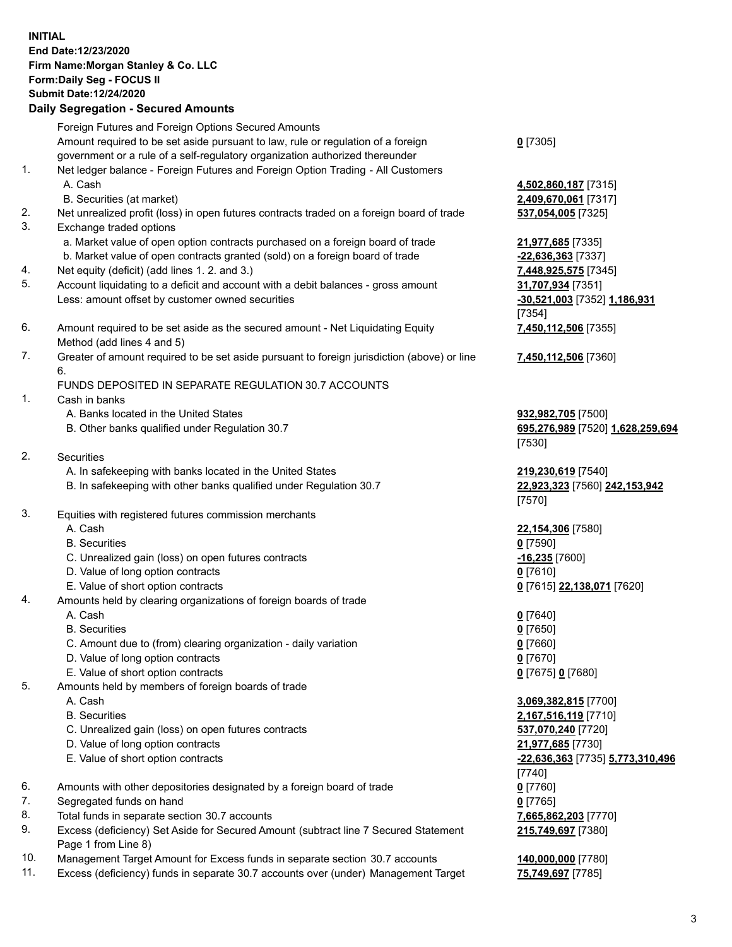## **INITIAL End Date:12/23/2020 Firm Name:Morgan Stanley & Co. LLC Form:Daily Seg - FOCUS II Submit Date:12/24/2020**

## **Daily Segregation - Secured Amounts**

Foreign Futures and Foreign Options Secured Amounts Amount required to be set aside pursuant to law, rule or regulation of a foreign government or a rule of a self-regulatory organization authorized thereunder 1. Net ledger balance - Foreign Futures and Foreign Option Trading - All Customers A. Cash **4,502,860,187** [7315]

- B. Securities (at market) **2,409,670,061** [7317]
- 2. Net unrealized profit (loss) in open futures contracts traded on a foreign board of trade **537,054,005** [7325]
- 3. Exchange traded options
	- a. Market value of open option contracts purchased on a foreign board of trade **21,977,685** [7335]
	- b. Market value of open contracts granted (sold) on a foreign board of trade **-22,636,363** [7337]
- 4. Net equity (deficit) (add lines 1. 2. and 3.) **7,448,925,575** [7345]
- 5. Account liquidating to a deficit and account with a debit balances gross amount **31,707,934** [7351] Less: amount offset by customer owned securities **-30,521,003** [7352] **1,186,931**
- 6. Amount required to be set aside as the secured amount Net Liquidating Equity Method (add lines 4 and 5)
- 7. Greater of amount required to be set aside pursuant to foreign jurisdiction (above) or line 6.

## FUNDS DEPOSITED IN SEPARATE REGULATION 30.7 ACCOUNTS

- 1. Cash in banks
	- A. Banks located in the United States **932,982,705** [7500]
	- B. Other banks qualified under Regulation 30.7 **695,276,989** [7520] **1,628,259,694**
- 2. Securities
	- A. In safekeeping with banks located in the United States **219,230,619** [7540]
	- B. In safekeeping with other banks qualified under Regulation 30.7 **22,923,323** [7560] **242,153,942**
- 3. Equities with registered futures commission merchants
	-
	- B. Securities **0** [7590]
	- C. Unrealized gain (loss) on open futures contracts **-16,235** [7600]
	- D. Value of long option contracts **0** [7610]
	- E. Value of short option contracts **0** [7615] **22,138,071** [7620]
- 4. Amounts held by clearing organizations of foreign boards of trade
	- A. Cash **0** [7640]
	- B. Securities **0** [7650]
	- C. Amount due to (from) clearing organization daily variation **0** [7660]
	- D. Value of long option contracts **0** [7670]
	- E. Value of short option contracts **0** [7675] **0** [7680]
- 5. Amounts held by members of foreign boards of trade
	-
	-
	- C. Unrealized gain (loss) on open futures contracts **537,070,240** [7720]
	- D. Value of long option contracts **21,977,685** [7730]
	- E. Value of short option contracts **-22,636,363** [7735] **5,773,310,496**
- 6. Amounts with other depositories designated by a foreign board of trade **0** [7760]
- 7. Segregated funds on hand **0** [7765]
- 8. Total funds in separate section 30.7 accounts **7,665,862,203** [7770]
- 9. Excess (deficiency) Set Aside for Secured Amount (subtract line 7 Secured Statement Page 1 from Line 8)
- 10. Management Target Amount for Excess funds in separate section 30.7 accounts **140,000,000** [7780]
- 11. Excess (deficiency) funds in separate 30.7 accounts over (under) Management Target **75,749,697** [7785]

**0** [7305]

[7354] **7,450,112,506** [7355]

**7,450,112,506** [7360]

[7530]

[7570]

A. Cash **22,154,306** [7580]

 A. Cash **3,069,382,815** [7700] B. Securities **2,167,516,119** [7710] [7740] **215,749,697** [7380]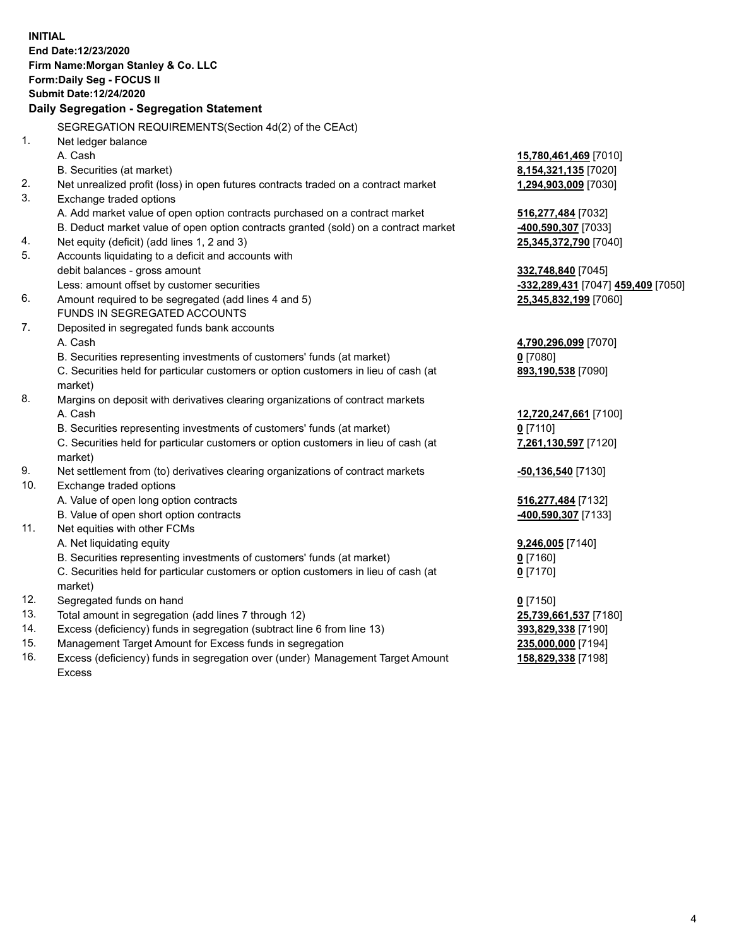|     | <b>INITIAL</b><br>End Date:12/23/2020<br>Firm Name: Morgan Stanley & Co. LLC<br>Form: Daily Seg - FOCUS II<br><b>Submit Date: 12/24/2020</b><br>Daily Segregation - Segregation Statement |                                    |
|-----|-------------------------------------------------------------------------------------------------------------------------------------------------------------------------------------------|------------------------------------|
|     | SEGREGATION REQUIREMENTS(Section 4d(2) of the CEAct)                                                                                                                                      |                                    |
| 1.  | Net ledger balance                                                                                                                                                                        |                                    |
|     | A. Cash                                                                                                                                                                                   | 15,780,461,469 [7010]              |
|     | B. Securities (at market)                                                                                                                                                                 | 8,154,321,135 [7020]               |
| 2.  | Net unrealized profit (loss) in open futures contracts traded on a contract market                                                                                                        | 1,294,903,009 [7030]               |
| 3.  | Exchange traded options                                                                                                                                                                   |                                    |
|     | A. Add market value of open option contracts purchased on a contract market                                                                                                               | 516,277,484 [7032]                 |
|     | B. Deduct market value of open option contracts granted (sold) on a contract market                                                                                                       | -400,590,307 [7033]                |
| 4.  | Net equity (deficit) (add lines 1, 2 and 3)                                                                                                                                               | 25,345,372,790 [7040]              |
| 5.  | Accounts liquidating to a deficit and accounts with                                                                                                                                       |                                    |
|     | debit balances - gross amount                                                                                                                                                             | 332,748,840 [7045]                 |
|     | Less: amount offset by customer securities                                                                                                                                                | -332,289,431 [7047] 459,409 [7050] |
| 6.  | Amount required to be segregated (add lines 4 and 5)                                                                                                                                      | 25,345,832,199 [7060]              |
|     | FUNDS IN SEGREGATED ACCOUNTS                                                                                                                                                              |                                    |
| 7.  | Deposited in segregated funds bank accounts                                                                                                                                               |                                    |
|     | A. Cash                                                                                                                                                                                   | 4,790,296,099 [7070]               |
|     | B. Securities representing investments of customers' funds (at market)                                                                                                                    | $0$ [7080]                         |
|     | C. Securities held for particular customers or option customers in lieu of cash (at<br>market)                                                                                            | 893,190,538 [7090]                 |
| 8.  | Margins on deposit with derivatives clearing organizations of contract markets                                                                                                            |                                    |
|     | A. Cash                                                                                                                                                                                   | 12,720,247,661 [7100]              |
|     | B. Securities representing investments of customers' funds (at market)                                                                                                                    | $0$ [7110]                         |
|     | C. Securities held for particular customers or option customers in lieu of cash (at<br>market)                                                                                            | 7,261,130,597 [7120]               |
| 9.  | Net settlement from (to) derivatives clearing organizations of contract markets                                                                                                           | <u>-50,136,540</u> [7130]          |
| 10. | Exchange traded options                                                                                                                                                                   |                                    |
|     | A. Value of open long option contracts                                                                                                                                                    | 516,277,484 [7132]                 |
|     | B. Value of open short option contracts                                                                                                                                                   | 400,590,307 [7133]                 |
| 11. | Net equities with other FCMs                                                                                                                                                              |                                    |
|     | A. Net liquidating equity                                                                                                                                                                 | 9,246,005 [7140]                   |
|     | B. Securities representing investments of customers' funds (at market)                                                                                                                    | $0$ [7160]                         |
|     | C. Securities held for particular customers or option customers in lieu of cash (at<br>market)                                                                                            | $0$ [7170]                         |
| 12. | Segregated funds on hand                                                                                                                                                                  | $0$ [7150]                         |
| 13. | Total amount in segregation (add lines 7 through 12)                                                                                                                                      | 25,739,661,537 [7180]              |
| 14. | Excess (deficiency) funds in segregation (subtract line 6 from line 13)                                                                                                                   | 393,829,338 [7190]                 |
| 15. | Management Target Amount for Excess funds in segregation                                                                                                                                  | 235,000,000 [7194]                 |
| 16. | Excess (deficiency) funds in segregation over (under) Management Target Amount                                                                                                            | 158,829,338 [7198]                 |

16. Excess (deficiency) funds in segregation over (under) Management Target Amount Excess

4